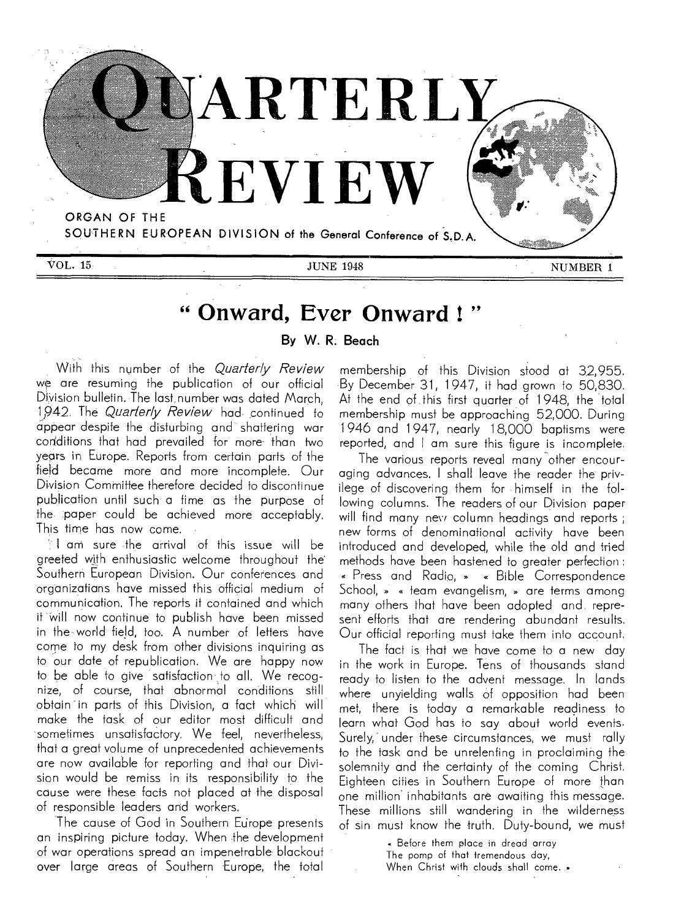

# **" Onward, Ever Onward ! "**

**By W. R. Beach** 

With this number of the Quarterly Review we are resuming the publication of our official Division bulletin. The last number was dated March, 1942. The Quarterly Review had continued to appear despite the disturbing and shattering war coriditions that had prevailed for more- than two years in, Europe. Reports from certain parts of the field became more and more incomplete. Our Division Committee therefore decided to discontinue publication until such a time as the purpose of the paper could be achieved more acceptably. This time has now come.

 $\mathbb{S}$  I am sure the arrival of this issue will be greeted with enthusiastic welcome throughout the. Southern European Division. Our conferences and organizations have missed this official medium of communication. The reports it contained and which it will now continue to publish have been missed in the world field, too. A number of letters have come to my desk from other divisions inquiring as to our date of republication. We are happy now to be able to give satisfaction to all. We recognize, of course, that abnormal conditions still obtain in parts of this Division, a fact which will make the task of our editor most difficult and sometimes unsatisfactory. We feel, nevertheless, that a great volume of unprecedented achievements are now available for reporting and that our Division would be remiss in its responsibility to the cause were these facts not placed at the disposal of responsible leaders and workers.

The cause of God in Southern Europe presents an inspiring picture today. When the development of war operations spread an impenetrable' blackout over large areas of Southern Europe, the total membership of this Division stood at 32,955. By December 31, 1947, it had grown to 50,830. At the end of this first quarter of 1948, the total membership must be approaching 52,000. During 1946 and 1947, nearly 18,000 baptisms were reported, and I am sure this figure is incomplete.

The various reports reveal many other encouraging advances. I shall leave the reader the privilege of discovering them for himself in the following columns. The readers of our Division paper will find many nevi column headings and reports; new forms of denominational activity have been introduced and developed, while the old and tried methods have been hastened to greater perfection : Press and Radio, » « Bible Correspondence School, » « team evangelism, » are terms among many others that have been adopted and represent efforts that are rendering abundant results. Our official reporting must take them into account.

The fact is that we have come to a new day in the work in Europe. Tens of thousands stand ready to listen to the advent message. In lands where unyielding walls of opposition had been met, there is today a remarkable readiness to learn what God has to say about world events. Surely, under these circumstances, we must rally to the task and be unrelenting in proclaiming the solemnity and the certainty of the coming Christ. Eighteen cities in Southern Europe of more than one million inhabitants are awaiting this message. These millions still wandering in the wilderness of sin must know the truth. Duty-bound, we must

> Before them place in dread array The pomp of that tremendous day, When Christ with clouds shall come. »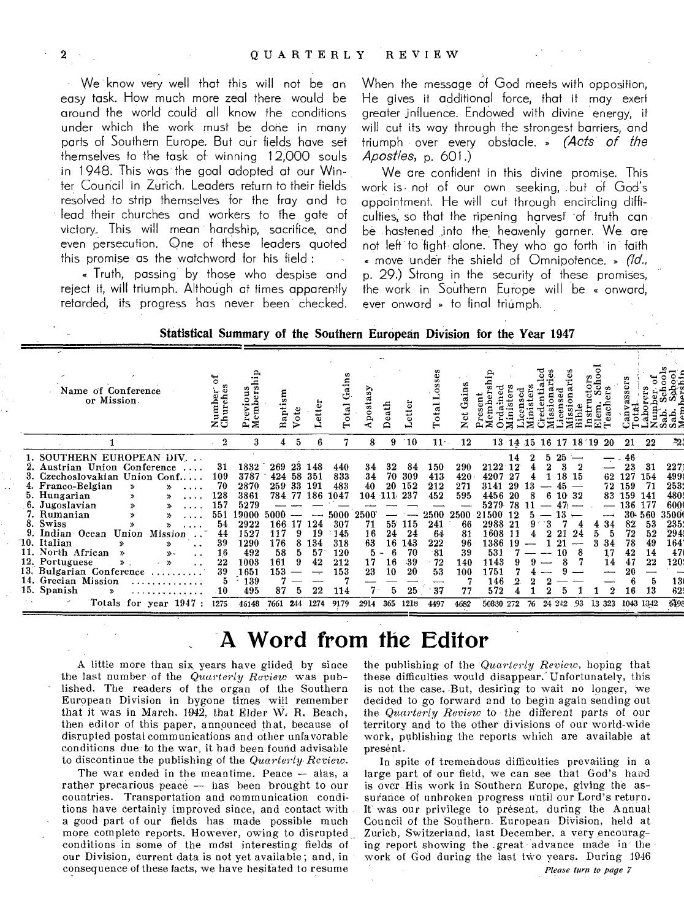We know very well that this will not be an easy task. How much more zeal there would be around the world could all know the conditions under which the work must be done in many parts of Southern Europe. But our fields have set themselves to the task of winning 12,000 souls in 1948. This was the goal adopted at our Winter Council in Zurich. Leaders return to their fields resolved to strip themselves for the fray and to lead their churches and workers to the gate of victory. This will mean hardship, sacrifice, and even persecution. One of these leaders quoted this promise as the watchword for his field:

« Truth, passing by those who despise and reject it, will triumph. Although at times apparently retarded, its progress has never been checked.

When the message of God meets with opposition, He gives it additional force, that it may exert greater influence. Endowed with divine energy, it will cut its way through the strongest barriers, and triumph over every obstacle. » (Acts of the  $A$ post/es, p. 601.)

We are confident in this divine promise. This work is not of our own seeking, but of God's appointment. He will cut through encircling difficulties, so that the ripening harvest of truth can be hastened into the heavenly garner. We are not left to fight alone. They who go forth in faith « move under the shield of Omnipotence. » (1d., p. 29.) Strong in the security of these promises, the work in Southern Europe will be « onward, ever onward » to final triumph.

| Statistical Summary of the Southern European Division for the Year 1947 |  |  |  |
|-------------------------------------------------------------------------|--|--|--|
|-------------------------------------------------------------------------|--|--|--|

| Name of Conference<br>or Mission.                                                                                                                                                                                                                                                                                                                                                                                                                                                                                | umb<br>žő                                                                                     |                                                                                                                    | $\mathbf{m}$<br>Baptis                                                                            | $\circ$                              | ö<br>퓽                                                          | Total                                                                                      | $\boldsymbol{s}$<br>Aposta                                               | eath                                                           | etter                                                                        |                                                                                            | ains<br>z                                                                            |                                                                                                                                            |                                   |          |         |                                                         |         |                                                         |                                                                                |                                                                                            |                                                                                                          |
|------------------------------------------------------------------------------------------------------------------------------------------------------------------------------------------------------------------------------------------------------------------------------------------------------------------------------------------------------------------------------------------------------------------------------------------------------------------------------------------------------------------|-----------------------------------------------------------------------------------------------|--------------------------------------------------------------------------------------------------------------------|---------------------------------------------------------------------------------------------------|--------------------------------------|-----------------------------------------------------------------|--------------------------------------------------------------------------------------------|--------------------------------------------------------------------------|----------------------------------------------------------------|------------------------------------------------------------------------------|--------------------------------------------------------------------------------------------|--------------------------------------------------------------------------------------|--------------------------------------------------------------------------------------------------------------------------------------------|-----------------------------------|----------|---------|---------------------------------------------------------|---------|---------------------------------------------------------|--------------------------------------------------------------------------------|--------------------------------------------------------------------------------------------|----------------------------------------------------------------------------------------------------------|
| $\mathbf{1}$                                                                                                                                                                                                                                                                                                                                                                                                                                                                                                     | 2                                                                                             | з                                                                                                                  |                                                                                                   | 5                                    | 6                                                               |                                                                                            | 8                                                                        | 9                                                              | 10                                                                           | $11 -$                                                                                     | 12                                                                                   |                                                                                                                                            |                                   | 13 14 15 |         | 16 17 18 19                                             |         | 20                                                      |                                                                                | 21 22                                                                                      | Т.                                                                                                       |
| 1. SOUTHERN EUROPEAN DIV.<br>Austrian Union Conference<br>3. Czechoslovakian Union Conf<br>4. Franco-Belgian<br>$\mathbf{v}$<br>$\lambda$<br>5. Hungarian<br>6. Jugoslavian<br>≫<br>7. Rumanian<br>$\mathbf{v}$<br>8. Swiss<br>9. Indian Ocean<br>Union<br>Mission<br>10. Italian<br>×,<br>. .<br>11. North African<br>≫<br><b>s</b> .<br>$\ddot{\phantom{0}}$<br>12. Portuguese<br>$\mathbf{v}$<br>$\mathbf{v}$<br>13. Bulgarian Conference<br>14. Grecian Mission<br>15. Spanish<br>⋟<br>Totals for year 1947: | 31<br>109<br>70<br>128<br>157<br>551<br>54<br>44<br>39<br>16<br>22<br>39<br>$\Lambda$<br>1275 | 1832<br>3787<br>2870<br>3861<br>5279<br>9000<br>2922<br>1527<br>1290<br>492<br>1003<br>1651<br>139<br>495<br>46148 | 269<br>424<br>259 33<br>784 77 186<br>5000<br>166<br>117<br>176<br>58<br>161<br>153<br>87<br>7661 | 23<br>58<br>17<br>9<br>8<br>5<br>244 | 148<br>351<br>191<br>124<br>19<br>134<br>57<br>42<br>22<br>1274 | 440<br>833<br>483<br>1047<br>5000<br>307<br>145<br>318<br>120<br>212<br>153<br>114<br>9179 | 34<br>34<br>40<br>104<br>2500<br>71<br>16<br>63<br>5<br>17<br>23<br>2914 | 32<br>70<br>20<br>$-111$<br>55.<br>24<br>16<br>16<br>10<br>365 | 84<br>309<br>152<br>237<br>115<br>24<br>143<br>70<br>-39<br>20<br>25<br>1218 | 150<br>413<br>212<br>452<br>2500<br>241<br>64<br>222<br>$-81$<br>$-72$<br>53<br>37<br>4497 | 290<br>420<br>271<br>595<br>2500<br>66<br>81<br>96<br>39<br>140<br>100<br>77<br>4682 | $2122^{\circ}$<br>4207<br>3141<br>4456<br>5279<br>21500 12<br>2988 21<br>1608 11<br>1386<br>531<br>1143<br>1751<br>146<br>572<br>50830 272 | 12<br>27<br>29<br>20<br>78<br>-19 | 8<br>76  | 6<br>24 | 18<br>15<br>-32<br>- 10-<br>21<br>24<br>21<br>10<br>242 | 8<br>93 | 62<br>72<br>83<br>4 34<br>5<br>34<br>17<br>14<br>13 323 | 46<br>23<br>127<br>159<br>159<br>136<br>82<br>72<br>78<br>42<br>47<br>20<br>16 | 31<br>154<br>-71<br>-141<br>177<br>30-560<br>53<br>52<br>49<br>14<br>22<br>13<br>1043 1342 | 227<br>499<br>253<br>480<br>600<br>3500<br>235<br>294<br>164<br>4 <sup>2</sup><br>120<br>1.<br>62<br>549 |

## A Word from the Editor

A little more than six years have glided by since the last number of the Quarterly Review was published. The readers of the organ of the Southern European Division in bygone times will remember that it was in March, 1942, that Elder W. R. Beach, then editor of this paper, announced that, because of disrupted postal communications and other unfavorable conditions due to the war, it had been found advisable to discontinue the publishing of the Quarterly Review.

The war ended in the meantime. Peace - alas, a rather precarious peace - has been brought to our countries. Transportation and communication conditions have certainly improved since, and contact with a good part of our fields has made possible much more complete reports. However, owing to disrupted conditions in some of the most interesting fields of our Division, current data is not yet available; and, in consequence of these facts, we have hesitated to resume

the publishing of the Quarterly Review, hoping that these difficulties would disappear. Unfortunately, this is not the case. But, desiring to wait no longer, we decided to go forward and to begin again sending out the Quarterly Review to the different parts of our territory and to the other divisions of our world-wide work, publishing the reports which are available at present.

In spite of tremendous difficulties prevailing in a large part of our field, we can see that God's hard is over His work in Southern Europe, giving the assurance of unbroken progress until our Lord's return. It was our privilege to present, during the Annual Council of the Southern. European Division, held at Zurich, Switzerland, last December, a very encouraging report showing the great advance made in the work of God during the last two years. During 1946

Please turn to page 7

 $\boldsymbol{2}$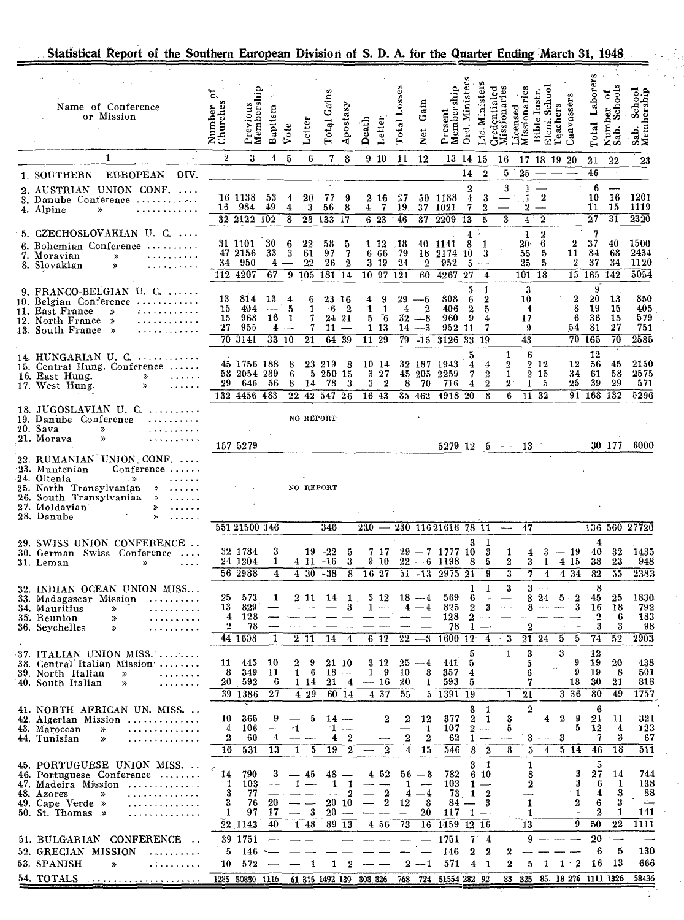|  |  | Statistical Report of the Southern European Division of S. D. A. for the Quarter Ending March 31, 1948 |  |  |  |  |
|--|--|--------------------------------------------------------------------------------------------------------|--|--|--|--|
|  |  |                                                                                                        |  |  |  |  |

 $\bar{z}$  $\ddot{\phantom{0}}$ 

 $\ddot{\phantom{a}}$ 

 $\bar{\gamma}$ 

| Name of Conference<br>or Mission                                                                                                                                                    | Number<br>Churches                | Previous<br>Membership                            | Baptism                                         | Vote                                                                                       | Letter                                                                                                                                                                                                                                                                                                                                                                                                                                                                                     | <b>Total Gains</b>                             | Apostasy                                                                                   | Death                                                | Letter                                                     | Losses<br>Total                                | Gain<br><b>Net</b>                                      | Present<br>Membership                                 | Ord. Ministers                                      | Minister<br>Йć.                                      | Credentialed<br>Missionaries             | Missionaries<br>Licensed                            | School<br>ers<br>Bible In<br>Elcm.<br>Teach | Canvassers                                                               | Laborers<br>Total                                                      | Schools<br>Number<br>Sah. Sch              | Sab. School<br>Membership               |
|-------------------------------------------------------------------------------------------------------------------------------------------------------------------------------------|-----------------------------------|---------------------------------------------------|-------------------------------------------------|--------------------------------------------------------------------------------------------|--------------------------------------------------------------------------------------------------------------------------------------------------------------------------------------------------------------------------------------------------------------------------------------------------------------------------------------------------------------------------------------------------------------------------------------------------------------------------------------------|------------------------------------------------|--------------------------------------------------------------------------------------------|------------------------------------------------------|------------------------------------------------------------|------------------------------------------------|---------------------------------------------------------|-------------------------------------------------------|-----------------------------------------------------|------------------------------------------------------|------------------------------------------|-----------------------------------------------------|---------------------------------------------|--------------------------------------------------------------------------|------------------------------------------------------------------------|--------------------------------------------|-----------------------------------------|
| $\mathbf{1}$                                                                                                                                                                        | $\overline{2}$                    | 3                                                 | 4                                               | 5                                                                                          | 6                                                                                                                                                                                                                                                                                                                                                                                                                                                                                          | 7                                              | 8                                                                                          |                                                      | 9 10                                                       | 11                                             | 12                                                      |                                                       | 13 14 15                                            |                                                      | 16                                       |                                                     | 17 18 19 20                                 |                                                                          | 21                                                                     | 22                                         | 23                                      |
| <b>EUROPEAN</b><br>DIV.<br>1. SOUTHERN                                                                                                                                              |                                   |                                                   |                                                 |                                                                                            |                                                                                                                                                                                                                                                                                                                                                                                                                                                                                            |                                                |                                                                                            |                                                      |                                                            |                                                |                                                         |                                                       | 14                                                  | $\bf{2}$                                             | 5                                        | ${\bf 25}$                                          |                                             |                                                                          | 46                                                                     |                                            |                                         |
| 2. AUSTRIAN UNION CONF.<br>3. Danube Conference<br>4. Alpine<br>»                                                                                                                   |                                   | 16 1138<br>16 984<br>32 21 22                     | 53<br>49<br><b>102</b>                          | 4<br>4<br>$\overline{8}$                                                                   | 20<br>3<br>$\overline{23}$                                                                                                                                                                                                                                                                                                                                                                                                                                                                 | 77<br>56<br>133 17                             | 9<br>8                                                                                     | 4                                                    | $2\,16$<br>7<br>6 23                                       | -27<br>19.<br>$-46$                            | 37<br>$\overline{87}$                                   | 50 1188<br>1021<br>2209 13                            | $\bf{2}$<br>4<br>7                                  | -3<br>$\overline{2}$<br>5                            | 3<br>$\overline{\mathbf{3}}$             | 1<br>1<br>2<br>$\overline{\mathbf{4}}$              | $\boldsymbol{2}$<br>$\overline{\mathbf{2}}$ |                                                                          | 6<br>10<br>11<br>$\overline{27}$                                       | $\overline{\phantom{a}}$<br>16<br>15<br>31 | 1201<br>1119<br>$\overline{2320}$       |
| 5. CZECHOSLOVAKIAN U. C.                                                                                                                                                            |                                   |                                                   |                                                 |                                                                                            |                                                                                                                                                                                                                                                                                                                                                                                                                                                                                            |                                                |                                                                                            |                                                      |                                                            |                                                |                                                         |                                                       | 4                                                   |                                                      |                                          | 1                                                   | $\overline{2}$                              |                                                                          | 7                                                                      |                                            |                                         |
| 6. Bohemian Conference<br>7. Moravian<br>.<br>$\gg$<br>8. Slovakian<br>$\boldsymbol{\mathcal{P}}$                                                                                   |                                   | 31 1101<br>47 2156<br>34 950<br>112 4207          | 30<br>33<br>4<br>67                             | 6<br>3<br>9                                                                                | 22<br>61<br>$^{22}$<br>105                                                                                                                                                                                                                                                                                                                                                                                                                                                                 | 58<br>97<br>26<br>181                          | 5<br>$\overline{7}$<br>$\mathbf 2$<br>$\overline{14}$                                      | 10 97                                                | 1 12<br>$6\text{ }66$<br>3 19                              | . 18<br>79<br>24<br>$\overline{121}$           | 18<br>$\mathbf{2}$<br>60                                | 40 1141<br>2174<br>952<br>4267                        | 8<br>10<br>5<br>27                                  | -1<br>3<br>$\overline{\mathbf{4}}$                   |                                          | $20-$<br>55<br>25<br>101                            | 6<br>5<br>5<br>$\overline{18}$              | $\bf{2}$<br>11<br>$\boldsymbol{2}$                                       | 37<br>84<br>37<br>15 165                                               | 40<br>68<br>34<br>142                      | 1500<br>2434<br>1120<br>5054            |
| 9. FRANCO-BELGIAN U. C. $\dots$<br>$10.$ Belgian Conference $\ldots \ldots \ldots$<br>11. East France<br>.<br>$\gg$<br>12. North France »<br>13. South France »                     | 13<br>15<br>15<br>27              | 814<br>404<br>968<br>955<br>70 3141               | 13<br>16                                        | $\overline{\mathbf{4}}$<br>$\overline{5}$<br>$\mathbf{1}$<br>$4 -$<br>$33 \ \overline{10}$ | 6<br>1<br>7<br>7<br>21                                                                                                                                                                                                                                                                                                                                                                                                                                                                     | 23 16<br>$\cdot 6$<br>24 21<br>$11 -$<br>6439  | $^{\circ}$ 2                                                                               | 4<br>1<br>5<br>11                                    | 9<br>$\mathbf{1}$<br>$\ddot{6}$<br>1 13<br>$\overline{29}$ | 29<br>4<br>32<br>14<br>$79^{-}$                | $-6$<br>$\mathbf 2$<br>$-8$<br>$-3$<br>$\overline{-15}$ | 808<br>406<br>960<br>952 11<br>3126 33 19             | ō<br>6<br>$\bf{2}$<br>9                             | 1<br>$\bf{2}$<br>5<br>4<br>7                         |                                          | 3<br>10<br>$\overline{\mathbf{4}}$<br>17<br>9<br>43 |                                             | 2<br>8<br>6<br>54<br>70                                                  | 9<br>20<br>19<br>36<br>81<br>165                                       | 13<br>-15<br>15<br>$^{27}$<br>70           | 850<br>405<br>579<br>751<br>2585        |
| 14. HUNGARIAN U. C. $\dots\dots\dots\dots$<br>15. Central Hung. Conference<br>16. East Hung.<br>$\gg$<br>17. West Hung.<br>≫                                                        | 29                                | 45 1756 188<br>58 2054 239<br>646<br>132 4456 483 | 56                                              | 8<br>6<br>8<br>$22\,$                                                                      | 5<br>14<br>42                                                                                                                                                                                                                                                                                                                                                                                                                                                                              | 23 219<br>250 15<br>78<br>547, 26              | -8<br>3                                                                                    | 3<br>3                                               | 10 14<br>27<br>$\overline{\mathbf{2}}$<br>16 43            | 8                                              | 32 187<br>45 205<br>70<br>85 462                        | 1943<br>2259<br>716<br>4918                           | 5<br>$\overline{\mathbf{4}}$<br>7<br>4<br>-20       | 4<br>$\boldsymbol{2}$<br>$\overline{2}$<br>8         | 1<br>2<br>$\mathbf{1}$<br>$\bf{2}$<br>6  | 6<br>$^{2}$<br>1                                    | $2\;12$<br>-15<br>-5<br>11 32               | 12<br>34<br>25                                                           | 12<br>56<br>61<br>39<br>$91$ 168 132                                   | 45<br>58<br>29                             | 2150<br>2575<br>571<br>5296             |
| 18. JUGOSLAVIAN U. C. $\dots\dots\dots$<br>19. Danube Conference<br>20. Sava<br>≫<br>21. Morava<br>»                                                                                |                                   | 157 5279                                          |                                                 |                                                                                            | NO REPORT                                                                                                                                                                                                                                                                                                                                                                                                                                                                                  |                                                |                                                                                            |                                                      |                                                            |                                                |                                                         | $5279$ 12 5 - 13                                      |                                                     |                                                      |                                          |                                                     |                                             |                                                                          |                                                                        | 30 177                                     | 6000                                    |
| 22. RUMANIAN UNION CONF.<br>23. Muntenian<br>$Conference \ldots$<br>24. Oltenia<br>25. North Transylvanian<br>≫<br>26. South Transylvanian<br>≫<br>27. Moldavian<br>≫<br>28. Danube |                                   |                                                   |                                                 |                                                                                            |                                                                                                                                                                                                                                                                                                                                                                                                                                                                                            | NO REPORT                                      |                                                                                            |                                                      |                                                            |                                                |                                                         |                                                       |                                                     |                                                      |                                          |                                                     |                                             |                                                                          |                                                                        |                                            |                                         |
|                                                                                                                                                                                     |                                   | 551 21500 346                                     |                                                 |                                                                                            |                                                                                                                                                                                                                                                                                                                                                                                                                                                                                            | 346                                            |                                                                                            | 230                                                  |                                                            |                                                |                                                         | 230 116 21616 78 11                                   |                                                     |                                                      |                                          | 47                                                  |                                             |                                                                          |                                                                        |                                            | 136 560 27720                           |
| 29. SWISS UNION CONFERENCE<br>30. German Swiss Conference<br>31. Leman<br>»<br>$\cdots$                                                                                             |                                   | 32 1784<br>24 1204<br>56 2988                     | 3<br>1<br>4                                     |                                                                                            | 411<br>430                                                                                                                                                                                                                                                                                                                                                                                                                                                                                 | $19 - 22$<br>$-16$<br>$-38$                    | 5<br>3<br>8                                                                                |                                                      | 717<br>9 10<br>16 27                                       | 51                                             | $-13$                                                   | $29 - 7$ 1777 10<br>$22 - 6$ 1198<br>$\sqrt{2975}$ 21 | 3<br>8                                              | 1<br>3<br>5<br>9                                     | 1<br>$\boldsymbol{2}$<br>3               | 4<br>3<br>7                                         | $3 - 19$<br>1<br>$\overline{\mathbf{4}}$    | 4 15<br>4 34                                                             | 4<br>40<br>38<br>82                                                    | 32<br>23<br>55                             | 1435<br>948<br>2383                     |
| 32. INDIAN OCEAN UNION MISS<br>33. Madagascar Mission<br>34. Mauritius<br>$\rightarrow$<br>35. Reunion<br>≫<br>36. Seychelles<br>≫<br>.                                             | 25<br>13<br>4<br>2                | 573<br>829<br>128<br>78<br>44 1608                | 1<br>1                                          |                                                                                            | 211<br>211                                                                                                                                                                                                                                                                                                                                                                                                                                                                                 | 14<br>14                                       | 1<br>3<br>4                                                                                |                                                      | 5 12<br>$6\quad12$                                         | $\overline{\mathbf{4}}$<br>$\overline{22}$     | $18 - 4$<br>$-4$<br>-8                                  | 569<br>825<br>128<br>78<br>$1600$ $12$                | 1<br>6<br>$\boldsymbol{2}$<br>$\boldsymbol{2}$<br>1 | 1<br>$\overline{\phantom{a}}$<br>3<br>4              | 3<br>$\qquad \qquad \longleftarrow$<br>3 | 8<br>2<br>$21\,$                                    | $3 -$<br>24<br>24<br>-5                     | $5 -$<br>$\boldsymbol{2}$<br>3<br>5                                      | 8<br>45<br>16<br>2<br>3<br>74                                          | 25<br>18<br>6<br>3<br>52                   | 1830<br>792<br>183<br>98<br>2903        |
| 37. ITALIAN UNION MISS.<br>38. Central Italian Mission<br>39. North Italian<br>$\gg$<br>.<br>40. South Italian<br>$\boldsymbol{\mathcal{P}}$<br>.                                   | 11<br>8<br>20                     | 445<br>349<br>592<br>39 1386                      | 10<br>11<br>6<br>27                             |                                                                                            | $\mathbf{2}$<br>9<br>-6<br>$\mathbf{1}$<br>1 14<br>$4\,29$                                                                                                                                                                                                                                                                                                                                                                                                                                 | $18 -$<br>21                                   | 21 10<br>$\overline{\mathbf{4}}$<br>$60 \ \overline{14}$                                   | 1                                                    | 3 12<br>$9 -$<br>$-16$<br>4 37                             | 10<br>20<br>55                                 | $25 - 4$<br>8<br>1                                      | 441<br>357<br>593<br>$5$ 1391 19                      | 5<br>5<br>4<br>5                                    |                                                      | $1$ .<br>1                               | 3<br>5<br>в<br>7<br>21                              |                                             | 3<br>9<br>9<br>18<br>336                                                 | 12<br>19<br>19<br>30<br>80                                             | 20<br>-8<br>21<br>49                       | 438<br>501<br>818<br>1757               |
| 41. NORTH AFRICAN UN. MISS.<br>42. Algerian Mission<br>43. Maroccan<br>$\gg$<br>. <i>.</i><br>44. Tunisian »                                                                        | 10<br>4<br>$\boldsymbol{2}$<br>16 | 365<br>106<br>60<br>531                           | 9<br>4<br>13                                    | -1                                                                                         | -5<br>$\frac{1}{2} \left( \frac{1}{2} \right) \left( \frac{1}{2} \right) \left( \frac{1}{2} \right) \left( \frac{1}{2} \right) \left( \frac{1}{2} \right) \left( \frac{1}{2} \right) \left( \frac{1}{2} \right) \left( \frac{1}{2} \right) \left( \frac{1}{2} \right) \left( \frac{1}{2} \right) \left( \frac{1}{2} \right) \left( \frac{1}{2} \right) \left( \frac{1}{2} \right) \left( \frac{1}{2} \right) \left( \frac{1}{2} \right) \left( \frac{1}{2} \right) \left( \frac$<br>5<br>1 | $14 -$<br>11.<br>4<br>19                       | 2<br>$\overline{2}$                                                                        |                                                      | $\bf{2}$<br>$\boldsymbol{2}$                               | 2<br>$\overline{\mathbf{2}}$<br>4              | 12<br>$\mathbf{1}$<br>2<br>15                           | 377<br>107<br>62<br>546                               | 8                                                   | 1<br>$2 \quad 1$<br>$2 -$<br>$1 -$<br>$\overline{2}$ | 3<br>$\cdot$ 5<br>8                      | $\boldsymbol{2}$<br>5                               | 4<br>$3 -$<br>4                             | 9<br>2<br>5<br>$\boldsymbol{3}$<br>$\overline{\phantom{a}}$<br>$5 \; 14$ | 6<br>21<br>12<br>7<br>46                                               | 11<br>4<br>3<br>18                         | 321<br>$123^{\circ}$<br>67<br>511       |
| 45. PORTUGUESE UNION MISS.<br>46. Portuguese Conference<br>47. Madeira Mission<br>48. Azores<br>. <i>.</i> .<br>≫<br>49. Cape Verde »<br>50. St. Thomas $\gg$<br>. <i>.</i> .       | 14<br>1<br>3<br>3<br>1            | 790<br>103<br>-77<br>76<br>97<br>22,1143          | 3<br>$\overline{\phantom{m}}$<br>20<br>17<br>40 | $\overline{\phantom{m}}$                                                                   | -- 45<br>1<br>$\overline{\phantom{a}}$<br>$\overline{\phantom{0}}$<br>3<br>$1\overline{48}$                                                                                                                                                                                                                                                                                                                                                                                                | 1<br>$\overline{\phantom{m}}$<br>20<br>$89$ 13 | $48 -$<br>$\overline{\mathbf{1}}$<br>$\boldsymbol{2}$<br>20 10<br>$\overline{\phantom{a}}$ | $\overline{\phantom{a}}$<br>$\overline{\phantom{a}}$ | 4 52<br>$\boldsymbol{2}$<br>$\boldsymbol{2}$<br>4 56       | 1<br>4<br>12<br>$\overline{\phantom{m}}$<br>73 | $56 - 8$<br>$\overline{\phantom{a}}$<br>$-4$<br>8<br>20 | 782<br>103<br>117<br>16 1159 12 16                    | 73 1 2<br>$84 - 3$                                  | 31<br>6 10<br>$1 -$<br>$1 -$                         |                                          | 1<br>8<br>2<br>1<br>1<br>13                         |                                             | 3<br>3<br>1<br>2<br>. 9                                                  | 5<br>27<br>6<br>$\overline{\mathbf{4}}$<br>6<br>$\boldsymbol{2}$<br>50 | 14<br>1<br>-3<br>3<br>1<br>$22\,$          | 744<br>138<br>88<br>بسئم<br>141<br>1111 |
| 51. BULGARIAN CONFERENCE<br>52. GRECIAN MISSION<br>.<br>53. SPANISH<br>$\gg$<br>.<br>54. TOTALS                                                                                     | 5<br>10                           | 39 1751<br>146<br>572<br>1285 50830 1116          |                                                 |                                                                                            | 1                                                                                                                                                                                                                                                                                                                                                                                                                                                                                          | 1<br>61 315 1492 139                           | $\bf{2}$                                                                                   | 303, 326                                             |                                                            | $\boldsymbol{2}$<br>768                        | $-1$                                                    | 1751<br>146<br>571<br>724 51554 282 92                | 7.<br>$\bf{2}$<br>$\overline{\mathbf{4}}$           | $\overline{4}$<br>$\boldsymbol{2}$<br>-1             | 2<br>2                                   | 9<br>5                                              | 1<br>33 325 85 18 276 1111 1326             | $1 \cdot 2$                                                              | $20\,$<br>6                                                            | مسدد<br>5<br>16 13                         | 130<br>666<br>58436                     |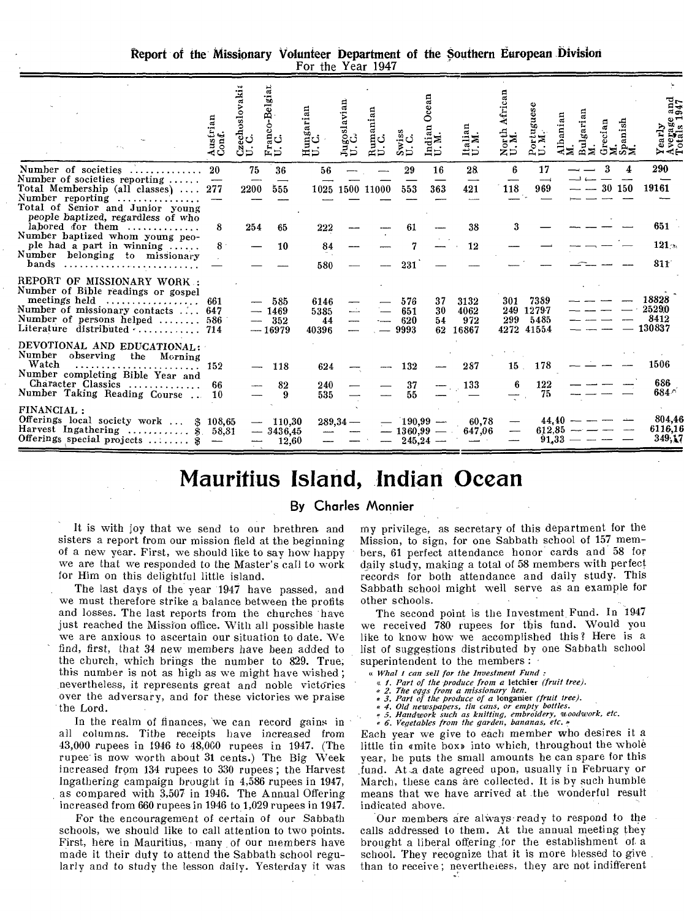Report of the Missionary Volunteer Department of the Southern European Division For the Year 1947

|                                                                                                                                                                                           | Austrian<br>Conf. | echoslovaki<br>రీ⊃       | Ř<br>ĖΞ                           | ungarian<br>ロロ              | goslavian  | a<br>Ë          |                           | Ocean<br>an<br>≍<br>ia<br>D.¤                        | ផ្ល<br>ੜ੍ਹੋ≅<br>ಸದ           | African<br>$\frac{1}{2}$<br>ຂີ¤ັ | Portuguese<br>U.M.                  | ផ្ល       | garian<br>E<br>Bal | Grecian<br>M.<br>Spanish<br>M. |   | α ⇔<br>ez<br>XXX                  |
|-------------------------------------------------------------------------------------------------------------------------------------------------------------------------------------------|-------------------|--------------------------|-----------------------------------|-----------------------------|------------|-----------------|---------------------------|------------------------------------------------------|------------------------------|----------------------------------|-------------------------------------|-----------|--------------------|--------------------------------|---|-----------------------------------|
| Number of societies<br>Number of societies reporting $\ldots$ .<br>Total Membership (all classes)<br>Number reporting<br>Total of Senior and Junior young                                 | 20<br>277         | 75<br>2200               | 36<br>555                         | 56                          |            | 1025 1500 11000 | 29<br>553                 | 16<br>363                                            | 28<br>421                    | ß<br>118                         | 17<br>969                           |           |                    | 3<br>30 150                    | 4 | 290<br>19161                      |
| people baptized, regardless of who<br>labored for them<br>Number baptized whom young peo-<br>ple had a part in winning<br>Number belonging to missionary<br>bands                         | 8<br>$8^{\circ}$  | 254                      | 65<br>10                          | 222<br>84<br>580            |            |                 | 61<br>231                 |                                                      | 38<br>12                     | 3                                |                                     |           |                    |                                |   | 651<br>121 <sub>3</sub><br>811    |
| REPORT OF MISSIONARY WORK .:<br>Number of Bible readings or gospel<br>meetings held<br>Number of missionary contacts  647<br>Number of persons helped  586<br>Literature distributed  714 | 661               | $\overline{\phantom{a}}$ | 585<br>$-1469$<br>352<br>$-16979$ | 6146<br>5385<br>44<br>40396 |            |                 | 576<br>651<br>620<br>9993 | 37<br>30<br>54<br>62                                 | 3132<br>4062<br>972<br>16867 | 301<br>249<br>299                | 7389<br>12797<br>5485<br>4272 41554 |           |                    |                                |   | 18828<br>2529.0<br>8412<br>130837 |
| DEVOTIONAL AND EDUCATIONAL:<br>Number observing the Morning<br>Watch<br>Number completing Bible Year and<br>Character Classics<br>Number Taking Reading Course                            | 152<br>66<br>10   |                          | 118<br>82<br>9                    | 624<br>240<br>535           |            |                 | 132<br>37<br>55           |                                                      | 287<br>133                   | $15$ .                           | 178<br>122<br>75                    |           |                    |                                |   | 1506<br>686<br>684 <sup>6</sup>   |
| FINANCIAL:<br>Offerings local society work  \$ 108,65<br>Harvest Ingathering  \$<br>Offerings special projects  \$                                                                        | 58.81             |                          | $-110,30$<br>$-3436.45$<br>12,60  |                             | $289.34 -$ |                 | 1360,99                   | $190,99$ —<br>$\overline{\phantom{m}}$<br>$245,24 -$ | 60.78<br>647,06              |                                  | 612.85<br>91,33                     | $44.40 -$ |                    |                                |   | 804,46<br>6116.16<br>349,17       |

# **Mauritius Island, Indian Ocean**

### By **Charles Monnier**

It is with joy that we send to our brethren and sisters a report from our mission field at the beginning of a new year. First, we should like to say how happy we are that we responded to the Master's call to work for Him on this delightful little island.

The last days of the year 1947 have passed, and we must therefore strike a balance between the profits and losses. The last reports from the churches have just reached the Mission office. With all possible haste we are anxious to ascertain our situation to date. We find, first, that 34 new members have been added to the church, which brings the number to 829. True; this number is not as high as we might have wished ; nevertheless, it represents great and noble victories over the adversary, and for these victories we praise the Lord.

In the realm of finances, we can record gains in all columns. Tithe receipts have increased from 43,000 rupees in 1946 to 48,000 rupees in 1947. (The rupee is now worth about 31 cents.) The Big Week increased from 134 rupees to 330 rupees; the Harvest Ingathering campaign brought in 4,586 rupees in 1947, as compared with 3,507 in 1946. The Annual Offering increased from 660 rupees in 1946 to 1,029 rupees in 1947.

For the encouragement of certain of our Sabbath schools, we should like to call attention to two points. First, here in Mauritius, many of our members have made it their duty to attend the Sabbath school regularly and to study the lesson daily. Yesterday it was

my privilege, as secretary of this department for the Mission, to sign, for one Sabbath school of 157 members, 61 perfect attendance honor cards and 58 for daily study, making a total of 58 members with perfect records for both attendance and daily study. This Sabbath school might well serve as an example for other schools.

The second point is the Investment Fund. In 1947 we received 780 rupees for this fund. Would you like to know how we accomplished this? Here is a list of suggestions distributed by one Sabbath school superintendent to the members :

- *« What I can sell for the Investment Fund :* 
	-
	-
	-
- « 1. Part of the produce from a letchier (fruit tree).<br>« 2. The eggs from a missionary hen.<br>« 3. Part of the produce of a longanier (fruit tree).<br>« 4. Old newspapers, tin cans, or empty bottles.<br>« 5. Handwork such as knit
- 

Each year we give to each member who desires it a little tin emite box» into which, throughout the whole year, he puts the small amounts he can spare for this fund. At a date agreed upon, usually in February or March, these cans are collected. It is by such humble means that we have arrived at the wonderful result indicated above.

Our members are alivays-ready to respond to the calls addressed to them. At the annual meeting they brought a liberal offering ,for the establishment of, a school. They recognize that it is more blessed to give than to receive ; nevertheless, they are not indifferent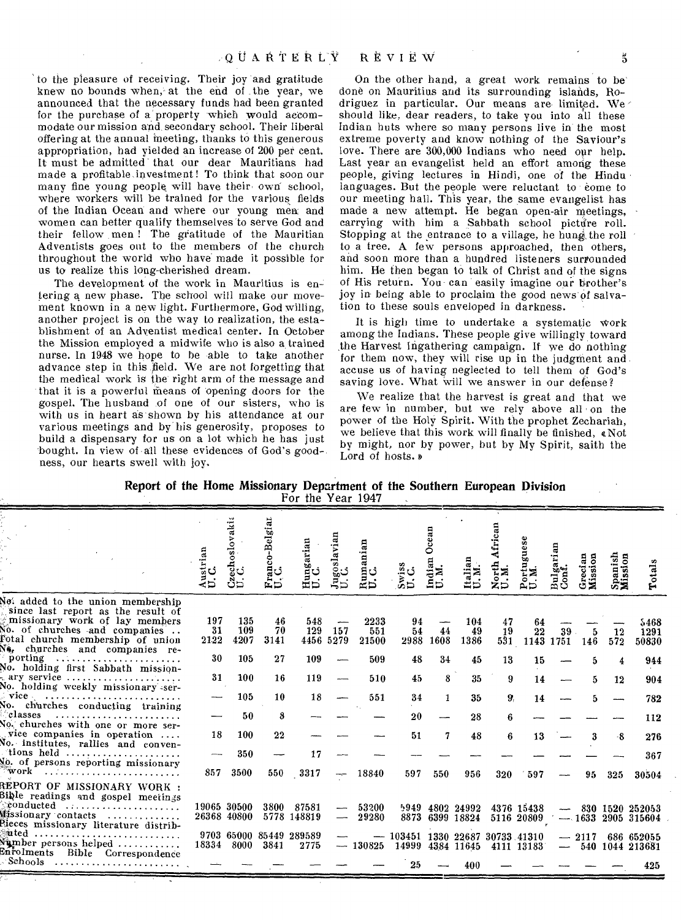'to the pleasure of receiving. Their joy and gratitude knew no bounds when, at the end of the year, we announced that the necessary funds had been granted for the purchase of a property which would accommodate our mission and secondary school. Their liberal offering at the annual meeting, thanks to this generous appropriation, had yielded an increase of 200 per cent. It must be admitted that our dear Mauritians had made a profitable. investment! To think that soon our many fine young people will have their own school, where workers will be trained for the various fields of the Indian Ocean and where our young men: and women can better qualify themselves to serve God and their fellow men ! The gratitude of the Mauritian Adventists goes out to the members of the church throughout the world who have made it possible for us to realize this long-cherished dream.

The development of the work in Mauritius is entering a new phase. The school will make our movement known in a new light. Furthermore, God willing, another project is on the way to realization, the establishment of an Adventist medical center. In October the Mission employed a midwife who is also a trained nurse. In 1948 we hope to he able to take another advance step in this field. We are not forgetting that the medical work is the right arm of the message and that it is a powerful means of opening doors for the gospel. The husband of one of our sisters, who is with us in heart as shown by his attendance at our various meetings and by' his generosity, proposes to build a dispensary for us on a lot which he has just bought. In view of all these evidences of God's goodness, our hearts swell with joy.

On the other hand, a great work remains to be' done on Mauritius and its surrounding islands, Rodriguez in particular. Our means are limited. We should like, dear readers, to take you into all these Indian huts where so many persons live in the most extreme poverty and know nothing of the Saviour's love. There are 300,000 Indians who need our help. Last year an evangelist held an effort among these people, giving lectures in Hindi, one of the Hindu languages. But the people were reluctant to come to our meeting hall. This year, the same evangelist has made a new attempt. He began open-air meetings, carrying with him a Sabbath school picture roll. Stopping at the entrance to a village, he hung the roll to a tree. A few persons approached, then others, and soon more than a hundred listeners surrounded him. He then began to talk of Christ and of the signs of His return. You- can easily imagine our brother's joy in- being able to proclaim the good news of salvation to these souls enveloped in darkness.

It is high time to undertake a systematic Work among the Indians. These people give willingly toward the Harvest Ingathering campaign. If we do nothing for them now, they will rise up in the judgment and accuse us of having neglected to tell them of God's saving love. What will we answer in our defense?

We realize that the harvest is great and that we are few in number, but we rely above all on the power of the Holy Spirit. With the prophet Zechariah, we believe that this work will finally be finished, *a* Not by might, nor by power, but by My Spirit, saith the Lord of hosts. »

|  |  | Report of the Home Missionary Department of the Southern European Division |  |  |  |
|--|--|----------------------------------------------------------------------------|--|--|--|
|  |  | For the Year 1947                                                          |  |  |  |
|  |  |                                                                            |  |  |  |

|                                                                                                                                                                                                                  | Austrian<br>U.C.  | zechoslovakit<br>. C.<br>ථිದ | Franco-Belgian<br>U. C. | Hungarian<br>U.C.               | goslavian<br>G<br>⊰ದ | anian<br>≃¤          | ဒီပ<br>تَرِعْ                             | ○<br>੩⊅<br>ξÞ | Italian<br>U.M.               | ۰<br>zÞ         | uguese<br>۰              | Bulgarian<br>Conf. | Grecian<br>Mission | Spanish<br>Mission | Totals                                    |
|------------------------------------------------------------------------------------------------------------------------------------------------------------------------------------------------------------------|-------------------|------------------------------|-------------------------|---------------------------------|----------------------|----------------------|-------------------------------------------|---------------|-------------------------------|-----------------|--------------------------|--------------------|--------------------|--------------------|-------------------------------------------|
| Not added to the union membership<br>since last report as the result of<br>missionary work of lay members<br>No. of churches and companies<br>Fotal church membership of union<br>Ne, churches and companies re- | 197<br>31<br>2122 | 135<br>109<br>4207           | 46<br>70<br>3141        | 548<br>129                      | 157<br>4456 5279     | 2233<br>551<br>21500 | 94<br>54<br>2988                          | 44<br>1608    | 104<br>49<br>1386             | 47<br>19<br>531 | 64<br>22                 | 39<br>1143 1751    | 146                | 12<br>572          | 5468<br>1291<br>50830                     |
| porting<br>No. holding first Sabbath mission-<br>ary service $\ldots \ldots \ldots \ldots \ldots \ldots$                                                                                                         | 30<br>31          | 105<br>100                   | 27<br>16                | 109<br>119                      |                      | 509<br>510           | 48<br>45                                  | 34<br>8       | 45<br>35                      | 13<br>9         | 15<br>14                 |                    | 5                  | 12                 | 944<br>904                                |
| No. holding weekly missionary ser-<br>No. churches conducting training                                                                                                                                           |                   | 105                          | 10                      | 18                              |                      | 551                  | 34                                        | 1             | 35                            | 9.              | 14                       |                    |                    |                    | 782                                       |
| classes<br>No. churches with one or more ser-<br>vice companies in operation<br>No. institutes, rallies and conven-                                                                                              | 18                | 50<br>100                    | 8<br>22                 |                                 |                      |                      | 20<br>51                                  | 7             | 28<br>48                      | 6<br>6          | 13                       |                    | 3                  | -8                 | 112<br>276                                |
| $\alpha$ tions held<br>No. of persons reporting missionary<br>$^{\circ}$ work                                                                                                                                    | 857               | 350<br>3500                  | 550                     | 17<br>3317                      | $- -$                | 18840                | 597                                       | 550           | 956                           | 320             | 597                      |                    | 95                 | 325                | 367<br>30504                              |
| REPORT OF MISSIONARY WORK :<br>Bible readings and gospel meetings<br>$\circ$ conducted<br>Missionary contacts<br>Rieces missionary literature distrib-                                                           |                   | 19065 30500<br>26368 40800   | 3800                    | 87581<br>5778 148819            | —                    | 53200<br>29280       | 5949                                      |               | 4802 24992<br>8873 6399 18824 |                 | 4376 15438<br>5116 20809 |                    |                    |                    | $-830$ 1520 252053<br>$-1633$ 2905 315604 |
| ated<br>Sumber persons helped<br>Enfolments Bible Correspondence<br>- Schools                                                                                                                                    |                   | 18334 8000                   | 3841                    | 9703 65000 85449 289589<br>2775 |                      | $-130825$            | $-103451$ 1330 22687 30733 41310<br>14999 |               | 4384 11645<br>400             |                 | 4111 13183               |                    | $-2117$            |                    | 686 652055<br>$-540$ 1044 213681<br>425   |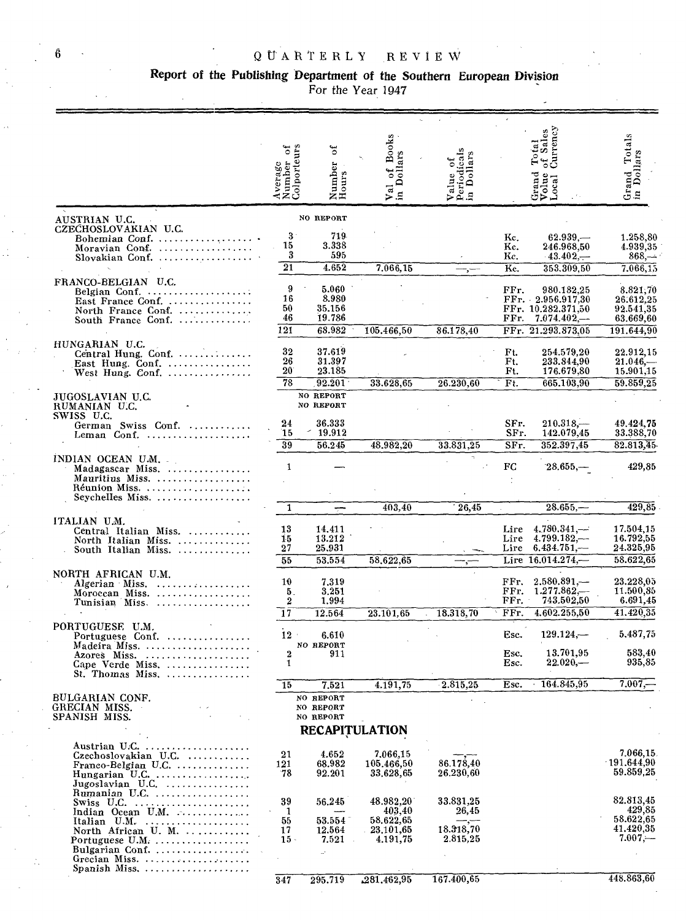# Report of the Publishing Department of the Southern European Division<br>For the Year 1947

 $\overline{\phantom{a}}$ 

|                                                                                                                                                                           | đ<br>Average<br>Number<br>Colporteu | ð<br>Number<br>Hours                | of Books<br>Dollars<br>Val          | Dollars<br>Value of<br>Periodical |                      | of Sales<br>Total<br>Grand<br>Volue<br>Local                           | Totals<br>lars<br>Doll<br>Grand<br>in Dol       |
|---------------------------------------------------------------------------------------------------------------------------------------------------------------------------|-------------------------------------|-------------------------------------|-------------------------------------|-----------------------------------|----------------------|------------------------------------------------------------------------|-------------------------------------------------|
|                                                                                                                                                                           |                                     |                                     | $\mathbf{a}$                        | Ξ                                 |                      |                                                                        |                                                 |
| AUSTRIAN U.C.<br>CZECHOSLOVAKIAN U.C.                                                                                                                                     |                                     | NO REPORT                           |                                     |                                   |                      |                                                                        |                                                 |
| Bohemian Conf.<br>Moravian Conf.<br>Slovakian Conf.                                                                                                                       | $3^{\circ}$<br>15<br>3              | 719<br>3.338<br>595                 |                                     |                                   | Kc.<br>Kc.<br>Kc.    | 62.939<br>246.968,50<br>$-43.402,-$                                    | 1.258,80<br>4.939,35<br>$868, -$                |
|                                                                                                                                                                           | $\overline{21}$                     | 4.652                               | 7.066,15                            |                                   | Kc.                  | 353.309,50                                                             | 7.066,15                                        |
| FRANCO-BELGIAN U.C.<br>Belgian Conf.<br>East France Conf.<br>North France Conf.<br>South France Conf.                                                                     | 9<br>16<br>50<br>46                 | 5.060<br>8.980<br>35.156<br>19.786  |                                     |                                   | FFr.<br>FFr.         | 980.182,25<br>FFr. 2.956.917,30<br>FFr. 10.282.371,50<br>$7.074.402 -$ | 8.821,70<br>26.612,25<br>92.541,35<br>63.669,60 |
| HUNGARIAN U.C.                                                                                                                                                            | 121                                 | 68.982                              | 105.466,50                          | 86.178,40                         | FFr.                 | 21.293.873.05                                                          | 191.644,90                                      |
| Central Hung. Conf.<br>East Hung. Conf. $\ldots$<br>West Hung. Conf.                                                                                                      | 32<br>26<br>$20^{\circ}$            | 37.619<br>31.397<br>23.185          |                                     |                                   | Ft.<br>Ft.<br>Ft.    | 254.579,20<br>233.844,90<br>176.679,80                                 | 22.912,15<br>$21.046-$<br>15.901.15             |
|                                                                                                                                                                           | $\overline{78}$                     | 92.201<br>NO REPORT                 | 33.628,65                           | 26.230,60                         | Ft.                  | 665.103,90                                                             | 59.859.25                                       |
| JUGOSLAVIAN U.C.<br>RUMANIAN U.C.<br>SWISS U.C.                                                                                                                           |                                     | NO REPORT                           |                                     |                                   |                      |                                                                        |                                                 |
| German Swiss Conf.<br>Leman Conf.                                                                                                                                         | 24<br>15                            | 36.333<br>19.912                    |                                     |                                   | SFr.<br>SFr.         | $210.318-$<br>142.079,45                                               | 49.424,75<br>33.388,70                          |
|                                                                                                                                                                           | 39                                  | 56.245                              | 48.982.20                           | 33.831,25                         | SFr.                 | 352.397,45                                                             | 82.813,45                                       |
| INDIAN OCEAN U.M.<br>Madagascar Miss.<br>Mauritius Miss.<br>Réunion Miss                                                                                                  | 1                                   |                                     |                                     |                                   | $_{\rm FC}$          | $28.655, -$                                                            | 429,85                                          |
| Seychelles Miss.                                                                                                                                                          |                                     |                                     |                                     |                                   |                      |                                                                        |                                                 |
| ITALIAN U.M.                                                                                                                                                              | 1                                   |                                     | 403,40                              | 26,45                             |                      | $28.655 -$                                                             | 429,85                                          |
| Central Italian Miss.<br>North Italian Miss.<br>South Italian Miss.                                                                                                       | 13<br>15<br>27                      | 14.411<br>13.212<br>25,931          |                                     |                                   | Lire<br>Lire<br>Lire | 4,780,341,<br>$4.799.182, -$<br>6,434.751,                             | 17.504,15<br>16.792,55<br>24.325,95             |
| NORTH AFRICAN U.M.                                                                                                                                                        | 55                                  | 53,554                              | 58.622.65                           |                                   | Lire                 | 16.014.274,-                                                           | 58.622,65                                       |
| Algerian Miss.<br>Moroecan Miss.<br>Tunisian Miss                                                                                                                         | 10<br>5.<br>$\boldsymbol{2}$        | 7,319<br>3.251<br>1,994             |                                     |                                   | FFr.<br>FFr.<br>FFr. | $2.580.891, -$<br>$1.277.862, -$<br>743.502,50                         | 23.228,05<br>11.500,85<br>6.691.45              |
| PORTUGUESE U.M.                                                                                                                                                           | 17                                  | 12.564                              | 23.101.65                           | 18.318,70                         | FFr.                 | 4.602.255,50                                                           | 41.420.35                                       |
| Portuguese Conf.<br>Madeira Miss.                                                                                                                                         | 12                                  | 6.610<br>NO REPORT                  |                                     |                                   | Esc.                 | $129.124-$<br>13.701.95                                                | 5,487,75<br>583,40                              |
| Azores Miss.<br>Cape Verde Miss.<br>St. Thomas Miss.                                                                                                                      | $\bf{2}$<br>$\mathbf{1}$            | 911                                 |                                     |                                   | Esc.<br>Esc.         | $22.020 -$                                                             | 935,85                                          |
|                                                                                                                                                                           | 15                                  | 7.521                               | 4.191,75                            | 2.815,25                          | Esc.                 | 164.845,95                                                             | 7.007.                                          |
| BULGARIAN CONF.<br>GRECIAN MISS.<br>SPANISH MISS.                                                                                                                         |                                     | NO REPORT<br>NO REPORT<br>NO REPORT |                                     |                                   |                      |                                                                        |                                                 |
|                                                                                                                                                                           |                                     |                                     | <b>RECAPITULATION</b>               |                                   |                      |                                                                        |                                                 |
| $Czechoslovakian$ U.C. $\ldots$<br>$Frameo-Belgian U.C. \ldots \ldots \ldots$<br>Hungarian U.C. $\ldots$<br>Jugoslavian U.C. $\dots\dots\dots\dots\dots$<br>Rumanian U.C. | 21<br>121<br>-78                    | 4.652<br>68.982<br>92.201           | 7.066,15<br>105.466.50<br>33.628,65 | 86.178,40<br>26.230, 60           |                      |                                                                        | 7.066,15<br>191.644.90<br>59.859,25             |
| $Swiss$ U.C.<br>Indian Ocean U.M. $\ldots$                                                                                                                                | 39<br>1                             | 56,245                              | $48.982,\!20^\circ$<br>403,40       | 33.831,25<br>26,45                |                      |                                                                        | 82.813,45<br>429,85                             |
| Italian $U.M.$ ,<br>North African U. M.<br>Portuguese $U.M.$                                                                                                              | 55<br>17<br>$15 -$                  | 53.554<br>12.564<br>7.521           | 58.622,65<br>23,101,65<br>4.191,75  | 18.318,70<br>2.815,25             |                      |                                                                        | 58.622,65<br>41.420,35<br>$7.007 -$             |
| Bulgarian Conf<br>Grecian Miss.                                                                                                                                           | 347                                 | $\mathcal{A}$<br>295.719            | .281.462,95                         | 167.400,65                        |                      |                                                                        | 448.863,60                                      |

6

Ż,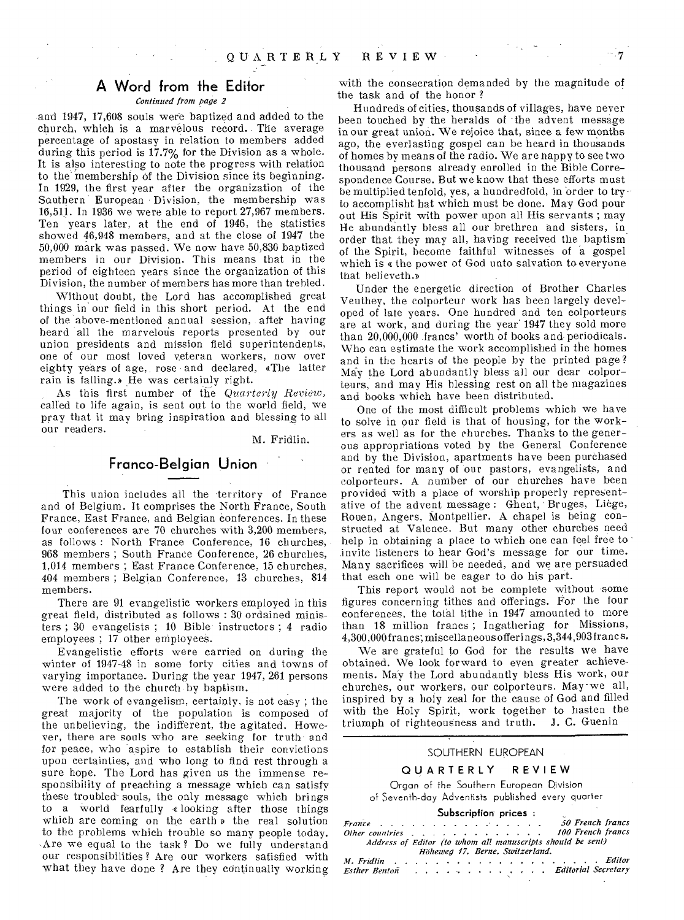## **A Word from the Editor**

#### *Continued from page 2*

and 1947, 17,608 souls were baptized and added to the church, which is a marvelous record. The average percentage of apostasy in relation to members added during this period is 17.7% for the Division as a whole. It is also interesting to note the progress with relation to the membership of the Division since its beginning. In 1929, the first year after the organization of the Southern European Division, the membership was 16,511. In 1936 we were able to report 27,967 members. Ten years later, at the end of 1946, the statistics showed 46,948 members, and at the close of 1947 the 50,000 mark was passed. We now have 50,836 baptized members in our Division. This means that in the period of eighteen years since the organization of this Division, the number of members has more than trebled.

Without doubt, the Lord has accomplished great things in our field in this short period. At the end of the above-mentioned annual session, after having heard all the marvelous reports presented by our union presidents and mission field superintendents, one of our most loved veteran workers, now over eighty years of age, rose and declared, eThe latter rain is falling.» He was certainly right.

As this first number of the *Quarterly Review,*  called to life again, is sent out to the world field, we pray that it may bring inspiration and blessing to all our readers.

M. Fridlin.

### **Franco-Belgian Union**

This union includes all the territory of France and of Belgium. It comprises the North France, South France, East France, and Belgian conferences. In these four conferences are 70 churches with 3,200 members, as follows : North France Conference, 16 churches, 968 members ; South France Conference, 26 churches, 1,014 members ; East France Conference, 15 churches, 404 members ; Belgian Conference, 13 churches, 814 members.

There are 91 evangelistic workers employed in this great field, distributed as follows : 30 ordained ministers ; 30 evangelists ; 10 Bible instructors ; 4 radio employees ; 17 other employees.

Evangelistic efforts were carried on during the winter of 1947-48 in some forty cities and towns of varying importance. During the year 1947, 261 persons were added to the church by baptism.

The work of evangelism, certainly, is not easy ; the great majority of the population is composed of the unbelieving, the indifferent, the agitated. However, there are souls who are seeking for truth and for peace, who aspire to establish their convictions upon certainties, and who long to find rest through a sure hope. The Lord has given us the immense responsibility of preaching a message which can satisfy these troubled-souls, the only message which brings to a world fearfully «looking after those things which are coming on the earth *v* the real solution to the problems which trouble so many people today. Are we equal to the task ? Do we fully understand our responsibilities ? Are our workers satisfied with what they have done ? Are they continually working

with the consecration demanded by the magnitude of the task and of the honor ?

Hundreds of cities, thousands of villages, have never been touched by the heralds of the advent message in our great union. We rejoice that, since a few months ago, the everlasting gospel can be heard in thousands of homes by means of the radio. We are nappy to see two thousand persons already enrolled in the Bible Correspondence Course. But we know that these efforts must be multiplied tenfold, yes, a hundredfold, in order to tryto accomplisht hat which must be done. May God pour out His Spirit with power upon all His servants ; may He abundantly bless all our brethren and sisters, in order that they may all, having received the baptism of the Spirit, become faithful witnesses of a gospel which is e the power of God unto salvation to everyone that believeth.y

Under the energetic direction of Brother Charles Veuthey, the colporteur work has been largely developed of late years. One hundred and ten colporteurs are at work, and during the year' 1947 they sold more than 20,000,000 francs' worth of books and periodicals. Who can estimate the work accomplished in the homes and in the hearts of the people by the printed page ? May the Lord abundantly bless all our dear colporteurs, and may His blessing rest on all the magazines and books which have been distributed.

One of the most difficult problems which we have to solve in our field is that of housing, for the workers as well as for the churches. Thanks to the generous appropriations voted by the General Conference and by the Division, apartments have been purchased or rented for many of our pastors, evangelists, and colporteurs. A number of our churches have been provided with a place of worship properly representative of the advent message : Ghent, Bruges, Liege, Rouen, Angers, Montpellier. A chapel is being constructed at Valence. But many other churches need help in obtaining a place to which one can feel free to .invite listeners to hear God's message for our time. Many sacrifices will be needed, and we are persuaded that each one will be eager to do his part.

This report would not be complete without some figures concerning tithes and offerings. For the four conferences, the total tithe in 1947 amounted to more than 18 million francs ; Ingathering for Missions, 4,300,000 francs; miscellaneousofferings, 3,344,903 francs.

We are grateful to God for the results we have obtained. We look forward to even greater achievements. May the Lord abundantly bless His work, our churches, our workers, our colporteurs. May-we all, inspired by a holy zeal for the cause of God and filled with the Holy Spirit, work together to hasten the triumph of righteousness and truth. *J.* C. Guenin

#### SOUTHERN EUROPEAN

#### **QUARTERLY REVIEW**

Organ of the Southern European Division of Seventh-day Adventists published every quarter

#### **Subscription prices :**

|                                                                                                                 |  |  |  |  |  |  |                                 | France $\cdots$ $\cdots$ $\cdots$ $\cdots$ $\cdots$ $\cdots$ $\cdots$ 50 French francs |
|-----------------------------------------------------------------------------------------------------------------|--|--|--|--|--|--|---------------------------------|----------------------------------------------------------------------------------------|
|                                                                                                                 |  |  |  |  |  |  |                                 | Other countries 100 French francs                                                      |
|                                                                                                                 |  |  |  |  |  |  |                                 | Address of Editor (to whom all manuscripts should be sent)                             |
|                                                                                                                 |  |  |  |  |  |  | Höheweg 17, Berne, Switzerland. |                                                                                        |
|                                                                                                                 |  |  |  |  |  |  |                                 |                                                                                        |
| Esther Benton (b) contains a contact that is a contact that is expected to the Better of the Benedict Secretary |  |  |  |  |  |  |                                 |                                                                                        |